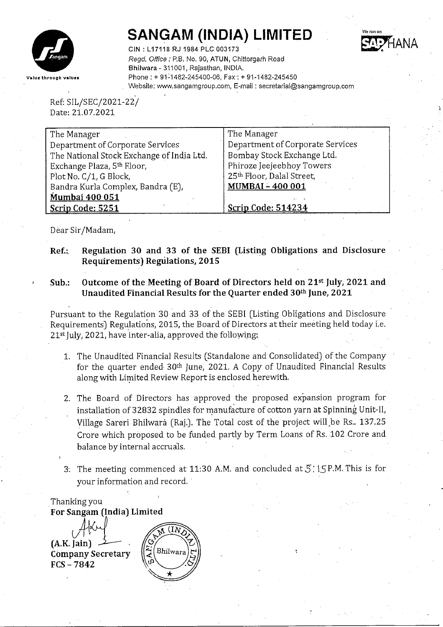

# **SANGAM (INDIA) LIMITED**



CIN : L 17118 RJ 1984 PLC 003173 *Regd. Office:* P.B. No. 90, ATUN, Chittorgarh Road Bhilwara - 311001, Rajasthan, INDIA. Phone: + 91~1482-245400-06, Fax': + 91-1482-245450 Website: www.sangamgroup.com, E-mail: secretarial@sangamgroup.com

Ref: *SIL/SEC/2021-221* Date: 21.07.2021

| The Manager                               | The Manager                      |
|-------------------------------------------|----------------------------------|
| Department of Corporate Services          | Department of Corporate Services |
| The National Stock Exchange of India Ltd. | Bombay Stock Exchange Ltd.       |
| Exchange Plaza, 5th Floor,                | Phiroze Jeejeebhoy Towers        |
| Plot No. C/1, G Block,                    | 25th Floor, Dalal Street,        |
| Bandra Kurla Complex, Bandra (E),         | <b>MUMBAI-400001</b>             |
| <b>Mumbai 400 051</b>                     |                                  |
| Scrip Code: 5251                          | <b>Scrip Code: 514234</b>        |

Dear Sir/Madam,

- Ref.: Regulation 30 and 33 of the SEBI (Listing Obligations and Disclosure Requirements) Regulations, 2015
- Sub.: Outcome of the Meeting of Board of Directors held on  $21^{st}$  July, 2021 and Unaudited Financial Results for the Quarter ended 30th June, 2021

Pursuant to the Regulation 30 and 33 of the SEBI (Listing Obligations and Disclosure Requirements) Regulations, 2015, the Board of Directors at their meeting held today i.e. 21st July, 2021, have inter-alia, approved the following:

- 1. The Unaudited Financial Results (Standalone and Consolidated) of the Company for the quarter ended 30<sup>th</sup> June, 2021. A Copy of Unaudited Financial Results along with Limited Review Report is enclosed herewith.
- 2. The Board of Directors has approved the proposed expansion program for installation of 32832 spindles for manufacture of cotton yarn at Spinning Unit-II, Village Sareri Bhilwara (Raj.). The Total cost of the project will be Rs.. 137.25 Crore which proposed to be funded partly by Term Loans of Rs. 102 Crore and balance by internal accruals.
- 3. The meeting commenced at 11:30 A.M. and concluded at  $5$ ;  $5$  P.M. This is for your information and record.

Thanking you For Sangam (India) Limited



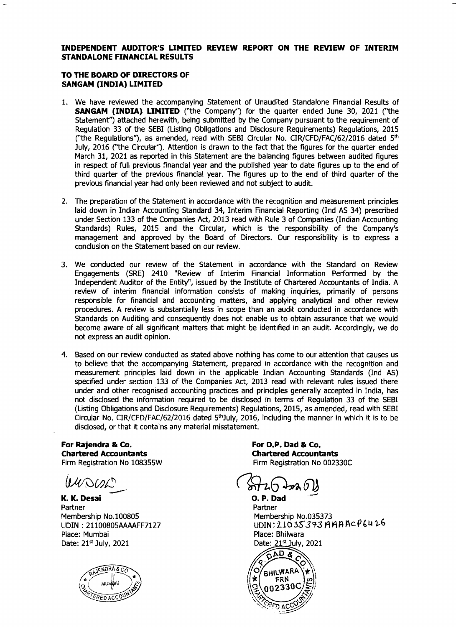#### **INDEPENDENT AUDITOR'S LIMITED REVIEW REPORT ON THE REVIEW OF INTERIM STANDALONE FINANCIAL RESULTS**

### **TO THE BOARD OF DIRECTORS OF SANGAM (INDIA) LIMITED**

- 1. We have reviewed the accompanying Statement of Unaudited Standalone Financial Results of **SANGAM (INDIA) LIMITED** ("the Company") for the quarter ended June 30, 2021 ("the Statement") attached herewith, being submitted by the Company pursuant to the requirement of Regulation 33 of the SEBI (Listing Obligations and Disclosure Requirements) Regulations, 2015 ("the Regulations"), as amended, read with SEBI Circular No. CIR/CFD/FAC/62/2016 dated  $5<sup>th</sup>$ July, 2016 (''the Circular''). Attention is drawn to the fact that the figures for the quarter ended March 31, 2021 as reported in this Statement are the balancing figures between audited figures in respect of full previous financial year and the published year to date figures up to the end of third quarter of the previous financial year. The figures up to the end of third quarter of the previous financial year had only been reviewed and not subject to audit.
- 2. The preparation of the Statement in accordance with the recognition and measurement principles laid down in Indian Accounting Standard 34, Interim Financial Reporting (lnd AS 34) prescribed under Section 133 of the Companies Act, 2013 read with Rule 3 of Companies (Indian Accounting Standards) Rules, 2015 and the Circular, which is the responsibility of the Company's management and approved by the Board of Directors. Our responsibility is to express a conclusion on the Statement based on our review.
- 3. We conducted our review of the Statement in accordance with the Standard on Review Engagements (SRE) 2410 "Review of Interim Financial Information Performed by the Independent Auditor of the Entity", issued by the Institute of Chartered Accountants of India. A review of interim financial information consists of making inquiries, primarily of persons responsible for financial and accounting matters, and applying analytical and other review procedures. A review is substantially less in scope than an audit conducted in accordance with Standards on Auditing and consequently does not enable us to obtain assurance that we would become aware of all significant matters that might be identified in an audit. Accordingly, we do not express an audit opinion.
- 4. Based on our review conducted as stated above nothing has come to our attention that causes us to believe that the accompanying Statement, prepared in accordance with the recognition and measurement principles laid down in the applicable Indian Accounting Standards (Ind AS) specified under section 133 of the Companies Act, 2013 read with relevant rules issued there under and other recognised accounting practices and principles generally accepted in India, has not disclosed the information required to be disclosed in terms of Regulation 33 of the SEBI (Listing Obligations and Disclosure Requirements) Regulations, 2015, as amended, read with SEBI Circular No. CIR/CFD/FAC/62/2016 dated  $5<sup>th</sup>$ July, 2016, including the manner in which it is to be disclosed, or that it contains any material misstatement.

**For Rajendra & Co. Chartered Accountants** Firm Registration No 108355W

**K. K. Desai O.P.** Dad **D.P.** Dad **C.P.** Dad **C.P.** Dad **C.P.** Dad **C.P.** Dad **C.P.** Dad **C.P.** Dad **C.P.** 2014 Partner Membership No.100805 LlDIN : 2110080SAAAAFF7127 Place: Mumbai Date: 21st July, 2021



**For O.P. Dad & Co. Chartered Accountants** Firm Registration No 002330C

Partner Membership No.035373 UDIN: 21035373 AMAACP6426 Place: Bhilwara Date: 21st July, 2021

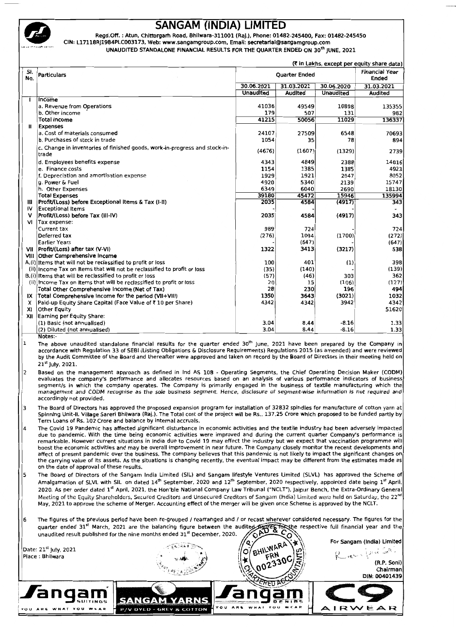

## **SANGAM (INDIA) LIMITED**

Regd.Off.: Atun, Chittorgarh Road, Bhilwara-311001 (Raj.), Phone: 01482-245400, Fax: 01482-245450 CIN: L17118RJ1984PLC003173, Web: www.sangamgroup.com, Email: secretarial@sangamgroup.com

UNAUDITED STANDALONE FINANCIAL RESULTS FOR THE QUARTER ENDED ON 30<sup>th</sup> JUNE, 2021

|            | (₹ in Lakhs, except per equity share data)                                                                                                                                                                                                             |                      |                |                    |                |  |  |  |  |
|------------|--------------------------------------------------------------------------------------------------------------------------------------------------------------------------------------------------------------------------------------------------------|----------------------|----------------|--------------------|----------------|--|--|--|--|
| SI.<br>No. | Particulars                                                                                                                                                                                                                                            | <b>Quarter Ended</b> |                |                    |                |  |  |  |  |
|            |                                                                                                                                                                                                                                                        | 30.06.2021           | 31.03.2021     | 30.06.2020         | 31.03.2021     |  |  |  |  |
|            |                                                                                                                                                                                                                                                        | <b>Unaudited</b>     | <b>Audited</b> | Unaudited          | <b>Audited</b> |  |  |  |  |
| -1         | Income                                                                                                                                                                                                                                                 |                      |                |                    |                |  |  |  |  |
|            | a. Revenue from Operations                                                                                                                                                                                                                             | 41036                | 49549          | 10898              | 135355         |  |  |  |  |
|            | b. Other income                                                                                                                                                                                                                                        | 179<br>41215         | 507<br>50056   | 131<br>11029       | 982<br>136337  |  |  |  |  |
| Ш          | <b>Total Income</b><br><b>Expenses</b>                                                                                                                                                                                                                 |                      |                |                    |                |  |  |  |  |
|            | a. Cost of materials consumed                                                                                                                                                                                                                          | 24107                | 27509          | 6548               | 70693          |  |  |  |  |
|            | b. Purchases of stock in trade                                                                                                                                                                                                                         | 1054                 | 35             | 78                 | 894            |  |  |  |  |
|            | c. Change in inventories of finished goods, work-in-progress and stock-in-                                                                                                                                                                             |                      |                |                    |                |  |  |  |  |
|            | trade                                                                                                                                                                                                                                                  | (4676)               | (1607)         | (1329)             | 2739           |  |  |  |  |
|            | d. Employees benefits expense                                                                                                                                                                                                                          | 4343                 | 4849           | 2388               | 14816          |  |  |  |  |
|            | e. Finance costs                                                                                                                                                                                                                                       | 1154                 | 1385           | 1385               | 4923           |  |  |  |  |
|            | f. Depreciation and amortisation expense                                                                                                                                                                                                               | 1929                 | 1921           | 2047               | 8052           |  |  |  |  |
|            | g. Power & Fuel                                                                                                                                                                                                                                        | 4920                 | 5340           | 2139               | 15747          |  |  |  |  |
|            | h. Other Expenses                                                                                                                                                                                                                                      | 6349                 | 6040           | 2690               | 18130          |  |  |  |  |
|            | <b>Total Expenses</b>                                                                                                                                                                                                                                  | 39180                | 45472          | 15946              | 135994         |  |  |  |  |
| Ш          | Profit/(Loss) before Exceptional Items & Tax (I-II)                                                                                                                                                                                                    | 2035                 | 4584           | (4917)             | 343            |  |  |  |  |
| ١V         | Exceptional Items                                                                                                                                                                                                                                      |                      |                |                    |                |  |  |  |  |
| v          | Profit/(Loss) before Tax (III-IV)                                                                                                                                                                                                                      | 2035                 | 4584           | (4917)             | 343            |  |  |  |  |
| vı         | Tax expense:                                                                                                                                                                                                                                           | 989                  | 724            |                    | 724            |  |  |  |  |
|            | Current tax<br>Deferred tax                                                                                                                                                                                                                            | (276)                | 1094           | (1700)             | (272)          |  |  |  |  |
|            | <b>Earlier Years</b>                                                                                                                                                                                                                                   |                      | (647)          |                    | (647)          |  |  |  |  |
|            | VII   Profit/(Loss) after tax (V-VI)                                                                                                                                                                                                                   | 1322                 | 3413           | (3217)             | 538            |  |  |  |  |
|            | VIII Other Comprehensive Income                                                                                                                                                                                                                        |                      |                |                    |                |  |  |  |  |
|            | A.(i) items that will not be reclassified to profit or loss                                                                                                                                                                                            | 100                  | 401            | (1)                | 398            |  |  |  |  |
|            | (ii) Income Tax on Items that will not be reclassified to profit or loss                                                                                                                                                                               | (35)                 | (140)          |                    | (139)          |  |  |  |  |
|            | B.(i) Items that will be reclassified to profit or loss                                                                                                                                                                                                | (57)                 | (46)           | 303                | 362            |  |  |  |  |
|            | (ii) Income Tax on Items that will be reclassified to profit or loss                                                                                                                                                                                   | 20                   | 15             | (106)              | (127)          |  |  |  |  |
|            | Total Other Comprehensive Income (Net of Tax)                                                                                                                                                                                                          | 28                   | 230            | 196                | 494            |  |  |  |  |
| IX         | Total Comprehensive Income for the period (VII+VIII)                                                                                                                                                                                                   | 1350                 | 3643           | (3021)             | 1032           |  |  |  |  |
| х          | Paid-up Equity Share Capital (Face Value of ₹10 per Share)                                                                                                                                                                                             | 4342                 | 4342           | 3942               | 4342           |  |  |  |  |
| XI         | Other Equity                                                                                                                                                                                                                                           |                      |                |                    | 51620          |  |  |  |  |
|            | XII Earning per Equity Share:                                                                                                                                                                                                                          |                      |                |                    |                |  |  |  |  |
|            | (1) Basic (not annualised)                                                                                                                                                                                                                             | 3.04<br>3.04         | 8.44<br>8.44   | $-8.16$<br>$-8.16$ | 1.33<br>1.33   |  |  |  |  |
|            | (2) Diluted (not annualised)<br>Notes:-                                                                                                                                                                                                                |                      |                |                    |                |  |  |  |  |
| 1          | The above unaudited standalone financial results for the quarter ended 30 <sup>th</sup> June, 2021 have been prepared by the Company in                                                                                                                |                      |                |                    |                |  |  |  |  |
|            | accordance with Regulation 33 of SEBI (Listing Obligations & Disclosure Reguirements) Regulations 2015 (as amended) and were reviewed                                                                                                                  |                      |                |                    |                |  |  |  |  |
|            | by the Audit Committee of the Board and thereafter were approved and taken on record by the Board of Directors in their meeting held on                                                                                                                |                      |                |                    |                |  |  |  |  |
|            | $21^{st}$ July, 2021.                                                                                                                                                                                                                                  |                      |                |                    |                |  |  |  |  |
| 2          | Based on the management approach as defined in Ind AS 108 - Operating Segments, the Chief Operating Decision Maker (CODM)                                                                                                                              |                      |                |                    |                |  |  |  |  |
|            | evaluates the company's performance and allocates resources based on an analysis of various performance indicators of business                                                                                                                         |                      |                |                    |                |  |  |  |  |
|            | segment/s in which the company operates. The Company is primarily engaged in the business of textile manufacturing which the                                                                                                                           |                      |                |                    |                |  |  |  |  |
|            | management and CODM recognise as the sole business segment. Hence, disclosure of segment-wise information is not required and                                                                                                                          |                      |                |                    |                |  |  |  |  |
|            | accordingly not provided.                                                                                                                                                                                                                              |                      |                |                    |                |  |  |  |  |
| 3          | The Board of Directors has approved the proposed expansion program for installation of 32832 spindles for manufacture of cotton yarn at                                                                                                                |                      |                |                    |                |  |  |  |  |
|            | Spinning Unit-II, Village Sareri Bhilwara (Raj.). The Total cost of the project will be Rs 137.25 Crore which proposed to be funded partly by                                                                                                          |                      |                |                    |                |  |  |  |  |
|            | Term Loans of Rs. 102 Crore and balance by internal accruals.                                                                                                                                                                                          |                      |                |                    |                |  |  |  |  |
| 14         | The Covid 19 Pandemic has affected significant disturbance in economic activities and the textile industry had been adversely impacted                                                                                                                 |                      |                |                    |                |  |  |  |  |
|            | due to pandemic. With the time being economic activities were improved and during the current quarter Company's performance is                                                                                                                         |                      |                |                    |                |  |  |  |  |
|            | remarkable. However current situations in India due to Covid 19 may effect the industry but we expect that vaccination programme will                                                                                                                  |                      |                |                    |                |  |  |  |  |
|            | boost the economic activities and may be overall improvement in near future. The Company closely monitor the recent developments and                                                                                                                   |                      |                |                    |                |  |  |  |  |
|            | affect of present pandemic over the business. The company believes that this pandemic is not likely to impact the significant changes on                                                                                                               |                      |                |                    |                |  |  |  |  |
|            | the carrying value of its assets. As the situations is changing recently, the eventual impact may be different from the estimates made as                                                                                                              |                      |                |                    |                |  |  |  |  |
|            | on the date of approval of these results.                                                                                                                                                                                                              |                      |                |                    |                |  |  |  |  |
| 5          | The Board of Directors of the Sangam India Limited (SIL) and Sangam lifestyle Ventures Limited (SLVL) has approved the Scheme of                                                                                                                       |                      |                |                    |                |  |  |  |  |
|            | Amalgamation of SLVL with SIL on dated 14 <sup>th</sup> September, 2020 and 12 <sup>th</sup> September, 2020 respectively, appointed date being 1st April.                                                                                             |                      |                |                    |                |  |  |  |  |
|            | 2020. As per order dated 1st April, 2021, the Hon'ble National Company Law Tribunal ("NCLT"), Jaipur Bench, the Extra-Ordinary General<br>red Craditors and Unsecured Craditors of Eangary (India) Limited were hold on Esturday, the 22 <sup>nd</sup> |                      |                |                    |                |  |  |  |  |
|            |                                                                                                                                                                                                                                                        |                      |                |                    |                |  |  |  |  |

Meeting of the Equity Shareholders, Secured Creditors and i Unsec vecting of the Equity Diraction aliyan (mala) winnee mere hela on Piay, 2021 to

989 6 The figures st wherever considered necessary. quarter ended 31<sup>st</sup> March, 2021 are the balancing figure between the audited Agures for the respective full financial year and the unaudited result published for the nine months ended  $31^{st}$  December, 2020.  $\sum_{i=1}^n c_i \partial f_i$ 

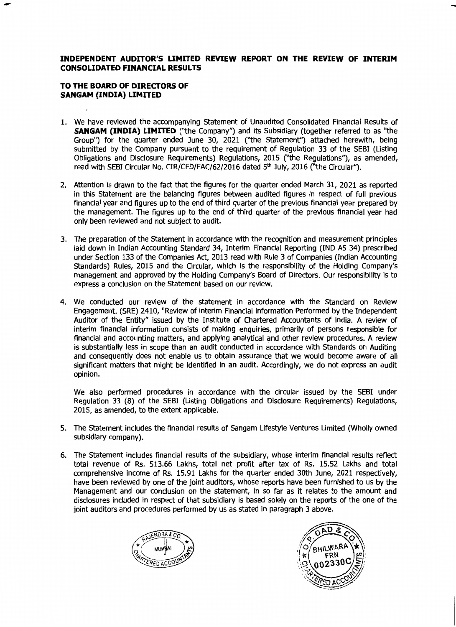### INDEPENDENT AUDITOR'S LIMITED REVIEW REPORT ON THE REVIEW OF INTERIM **CONSOLIDATED FINANCIAL RESULTS**

### TO THE BOARD OF DIRECTORS OF **SANGAM (INDIA) LIMITED**

- 1. We have reviewed the accompanying Statement of Unaudited Consolidated Financial Results of **SANGAM (INDIA) LIMITED** ("the Company") and its Subsidiary (together referred to as "the Group") for the quarter ended June 30, 2021 ("the Statement") attached herewith, being submitted by the Company pursuant to the requirement of Requlation 33 of the SEBI (Listing Obligations and Disclosure Requirements) Regulations, 2015 ("the Regulations"), as amended, read with SEBI Circular No. CIR/CFD/FAC/62/2016 dated 5<sup>th</sup> July, 2016 ("the Circular").
- 2. Attention is drawn to the fact that the figures for the quarter ended March 31, 2021 as reported in this Statement are the balancing figures between audited figures in respect of full previous financial year and figures up to the end of third guarter of the previous financial year prepared by the management. The figures up to the end of third guarter of the previous financial year had only been reviewed and not subject to audit.
- 3. The preparation of the Statement in accordance with the recognition and measurement principles laid down in Indian Accounting Standard 34, Interim Financial Reporting (IND AS 34) prescribed under Section 133 of the Companies Act, 2013 read with Rule 3 of Companies (Indian Accounting Standards) Rules, 2015 and the Circular, which is the responsibility of the Holding Company's management and approved by the Holding Company's Board of Directors. Our responsibility is to express a conclusion on the Statement based on our review.
- 4. We conducted our review of the statement in accordance with the Standard on Review Engagement, (SRE) 2410, "Review of interim Financial information Performed by the Independent Auditor of the Entity" issued by the Institute of Chartered Accountants of India. A review of interim financial information consists of making enquiries, primarily of persons responsible for financial and accounting matters, and applying analytical and other review procedures. A review is substantially less in scope than an audit conducted in accordance with Standards on Auditing and consequently does not enable us to obtain assurance that we would become aware of all significant matters that might be identified in an audit. Accordingly, we do not express an audit opinion. **SANGAM (INDIA) LIMITED**

We also performed procedures in accordance with the circular issued by the SEBI under Regulation 33 (8) of the SEBI (Listing Obligations and Disclosure Requirements) Regulations, 2015, as amended, to the extent applicable. **SANGAM (INDIA)** LIMITED ("the Company's Subsidiary (together referred to as "the subsidiary (together referred to as "the subsidiary (together referred to as "the subsidiary (together referred together referred to as "the

- 5. The Statement includes the financial results of Sangam Lifestyle Ventures Limited (Wholly owned subsidiary company). Obligations and Disclosure Requirements) Regulations, 2015 C'the Regulations''), as amended,
- 6. The Statement includes financial results of the subsidiary, whose interim financial results reflect total revenue of Rs. 513.66 Lakhs, total net profit after tax of Rs. 15.52 Lakhs and total comprehensive income of Rs. 15.91 Lakhs for the quarter ended 30th June. 2021 respectively. have been reviewed by one of the joint auditors, whose reports have been furnished to us by the Management and our condusion on the statement, in so far as it relates to the amount and disclosures included in respect of that subsidiary is based solely on the reports of the one of the joint auditors and procedures performed by us as stated in paragraph 3 above.



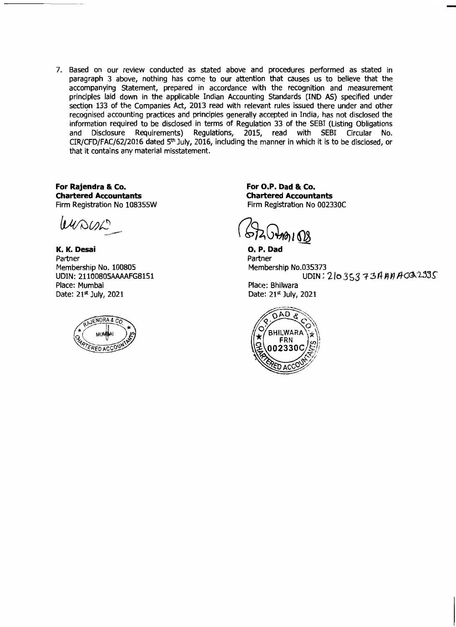7. Based on our review conducted as stated above and procedures performed as stated in paragraph 3 above, nothing has come to our attention that causes us to believe that the accompanying Statement, prepared in accordance with the recognition and measurement principles aid down in the applicable Indian Accounting Standards (IND AS) specified under section 133 of the Companies Act, 2013 read with relevant rules issued there under and other recognised accounting practices and principles generally accepted in India, has not disclosed the information required to be disclosed in terms of Requlation 33 of the SEBI (Listing Obligations Disclosure Requirements) Regulations, 2015, read with SEBI Circular and No. CIR/CFD/FAC/62/2016 dated 5<sup>th</sup> July, 2016, including the manner in which it is to be disclosed, or that it contains any material misstatement.

For Rajendra & Co. **Chartered Accountants** Firm Registration No 108355W

 $140002$ 

K. K. Desai Partner Membership No. 100805 UDIN: 21100805AAAAFG8151 Place: Mumbai Date: 21<sup>st</sup> July, 2021



For O.P. Dad & Co. **Chartered Accountants** Firm Registration No 002330C

*ช*อบ 608

O. P. Dad Partner Membership No.035373 UDIN: 21035373AAAACQ2335 Place: Bhilwara Date: 21<sup>st</sup> July, 2021